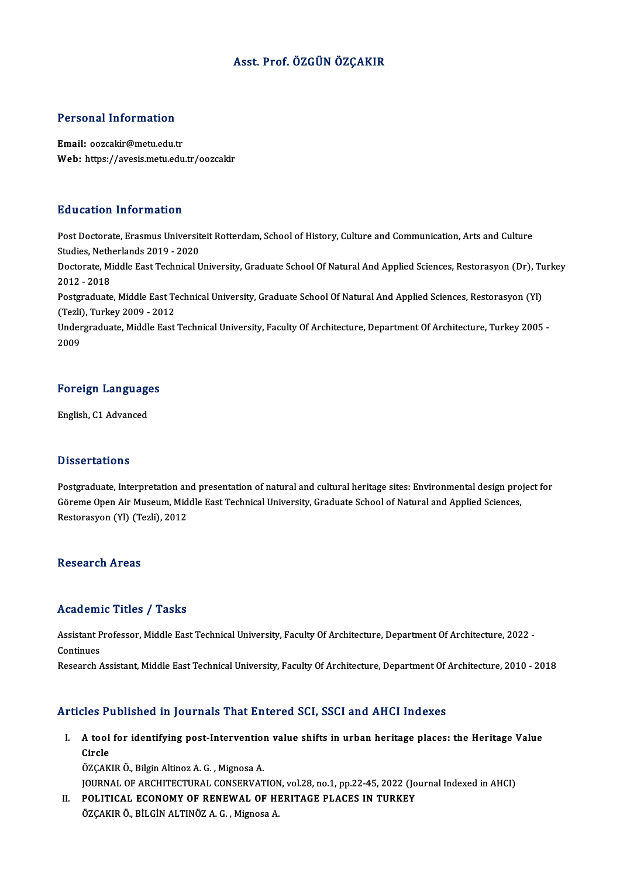## Asst. Prof. ÖZGÜN ÖZÇAKIR

#### Personal Information

Email: oozcakir@metu.edu.tr Web: https://avesis.metu.edu.tr/oozcakir

#### Education Information

Education Information<br>Post Doctorate, Erasmus Universiteit Rotterdam, School of History, Culture and Communication, Arts and Culture<br>Studies, Netherlands 2019, .2020 Butterlands Internation<br>Post Doctorate, Erasmus Universit<br>Studies, Netherlands 2019 - 2020<br>Doctorate, Middle Fost Technical U Post Doctorate, Erasmus Universiteit Rotterdam, School of History, Culture and Communication, Arts and Culture<br>Studies, Netherlands 2019 - 2020<br>Doctorate, Middle East Technical University, Graduate School Of Natural And Ap Studies, Neth<br>Doctorate, Mi<br>2012 - 2018<br>Postareduate Doctorate, Middle East Technical University, Graduate School Of Natural And Applied Sciences, Restorasyon (Dr), Tu<br>2012 - 2018<br>Postgraduate, Middle East Technical University, Graduate School Of Natural And Applied Sciences 2012 - 2018<br>Postgraduate, Middle East Te<br>(Tezli), Turkey 2009 - 2012<br>Undergraduate, Middle East Postgraduate, Middle East Technical University, Graduate School Of Natural And Applied Sciences, Restorasyon (Yl)<br>(Tezli), Turkey 2009 - 2012<br>Undergraduate, Middle East Technical University, Faculty Of Architecture, Depart (Tezli)<br>Under<br>2009 <sub>2009</sub><br>Foreign Languages

## <mark>Foreign Languag</mark><br>English, C1 Advanced

English, C1 Advanced<br>Dissertations

Dissertations<br>Postgraduate, Interpretation and presentation of natural and cultural heritage sites: Environmental design project for<br>Cëreme Open Air Museum Middle Fest Technical University Creduate School of Natural and Ap Babber carroard<br>Postgraduate, Interpretation and presentation of natural and cultural heritage sites: Environmental design pro<br>Göreme Open Air Museum, Middle East Technical University, Graduate School of Natural and Applie Göreme Open Air Museum, Middle East Technical University, Graduate School of Natural and Applied Sciences,<br>Restorasyon (Yl) (Tezli), 2012

#### **Research Areas**

### Academic Titles / Tasks

Assistant Professor, Middle East Technical University, Faculty Of Architecture, Department Of Architecture, 2022 -Continues

Research Assistant, Middle East Technical University, Faculty Of Architecture, Department Of Architecture, 2010 - 2018

#### Articles Published in Journals That Entered SCI, SSCI and AHCI Indexes

rticles Published in Journals That Entered SCI, SSCI and AHCI Indexes<br>I. A tool for identifying post-Intervention value shifts in urban heritage places: the Heritage Value<br>Cirele A tool<br>A tool<br>Circle<br>özcav A tool for identifying post-Intervention<br>Circle<br>ÖZÇAKIR Ö., Bilgin Altinoz A. G. , Mignosa A.<br>JOUPMAL OF ARCHITECTURAL CONSERVAT Circle<br>ÖZÇAKIR Ö., Bilgin Altinoz A. G. , Mignosa A.<br>JOURNAL OF ARCHITECTURAL CONSERVATION, vol.28, no.1, pp.22-45, 2022 (Journal Indexed in AHCI)

II. POLITICAL ECONOMY OF RENEWAL OF HERITAGE PLACES IN TURKEY ÖZÇAKIR Ö., BİLGİN ALTINÖZ A. G., Mignosa A.